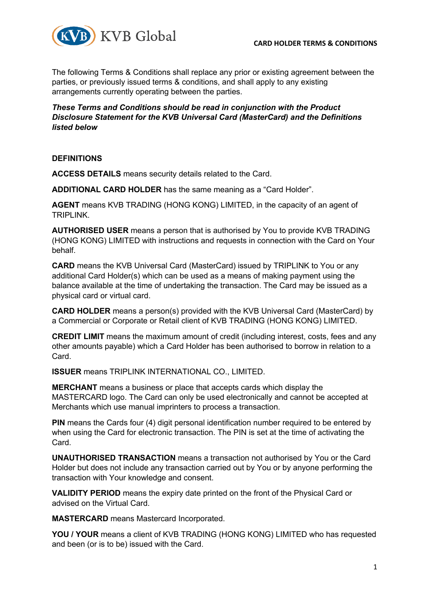

The following Terms & Conditions shall replace any prior or existing agreement between the parties, or previously issued terms & conditions, and shall apply to any existing arrangements currently operating between the parties.

*These Terms and Conditions should be read in conjunction with the Product Disclosure Statement for the KVB Universal Card (MasterCard) and the Definitions listed below*

### **DEFINITIONS**

**ACCESS DETAILS** means security details related to the Card.

**ADDITIONAL CARD HOLDER** has the same meaning as a "Card Holder".

**AGENT** means KVB TRADING (HONG KONG) LIMITED, in the capacity of an agent of TRIPLINK.

**AUTHORISED USER** means a person that is authorised by You to provide KVB TRADING (HONG KONG) LIMITED with instructions and requests in connection with the Card on Your behalf.

**CARD** means the KVB Universal Card (MasterCard) issued by TRIPLINK to You or any additional Card Holder(s) which can be used as a means of making payment using the balance available at the time of undertaking the transaction. The Card may be issued as a physical card or virtual card.

**CARD HOLDER** means a person(s) provided with the KVB Universal Card (MasterCard) by a Commercial or Corporate or Retail client of KVB TRADING (HONG KONG) LIMITED.

**CREDIT LIMIT** means the maximum amount of credit (including interest, costs, fees and any other amounts payable) which a Card Holder has been authorised to borrow in relation to a Card.

**ISSUER** means TRIPLINK INTERNATIONAL CO., LIMITED.

**MERCHANT** means a business or place that accepts cards which display the MASTERCARD logo. The Card can only be used electronically and cannot be accepted at Merchants which use manual imprinters to process a transaction.

**PIN** means the Cards four (4) digit personal identification number required to be entered by when using the Card for electronic transaction. The PIN is set at the time of activating the Card.

**UNAUTHORISED TRANSACTION** means a transaction not authorised by You or the Card Holder but does not include any transaction carried out by You or by anyone performing the transaction with Your knowledge and consent.

**VALIDITY PERIOD** means the expiry date printed on the front of the Physical Card or advised on the Virtual Card.

**MASTERCARD** means Mastercard Incorporated.

**YOU / YOUR** means a client of KVB TRADING (HONG KONG) LIMITED who has requested and been (or is to be) issued with the Card.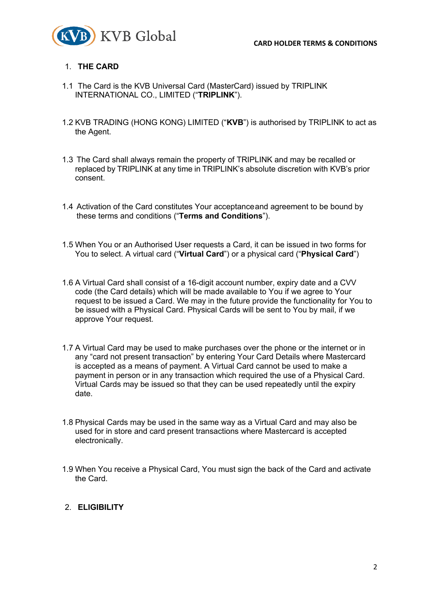

### 1. **THE CARD**

- 1.1 The Card is the KVB Universal Card (MasterCard) issued by TRIPLINK INTERNATIONAL CO., LIMITED ("**TRIPLINK**").
- 1.2 KVB TRADING (HONG KONG) LIMITED ("**KVB**") is authorised by TRIPLINK to act as the Agent.
- 1.3 The Card shall always remain the property of TRIPLINK and may be recalled or replaced by TRIPLINK at any time in TRIPLINK's absolute discretion with KVB's prior consent.
- 1.4 Activation of the Card constitutes Your acceptanceand agreement to be bound by these terms and conditions ("**Terms and Conditions**").
- 1.5 When You or an Authorised User requests a Card, it can be issued in two forms for You to select. A virtual card ("**Virtual Card**") or a physical card ("**Physical Card**")
- 1.6 A Virtual Card shall consist of a 16-digit account number, expiry date and a CVV code (the Card details) which will be made available to You if we agree to Your request to be issued a Card. We may in the future provide the functionality for You to be issued with a Physical Card. Physical Cards will be sent to You by mail, if we approve Your request.
- 1.7 A Virtual Card may be used to make purchases over the phone or the internet or in any "card not present transaction" by entering Your Card Details where Mastercard is accepted as a means of payment. A Virtual Card cannot be used to make a payment in person or in any transaction which required the use of a Physical Card. Virtual Cards may be issued so that they can be used repeatedly until the expiry date.
- 1.8 Physical Cards may be used in the same way as a Virtual Card and may also be used for in store and card present transactions where Mastercard is accepted electronically.
- 1.9 When You receive a Physical Card, You must sign the back of the Card and activate the Card.

## 2. **ELIGIBILITY**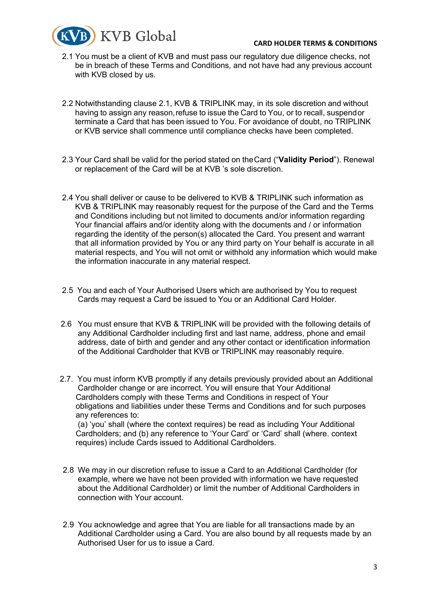#### **CARD HOLDER TERMS & CONDITIONS**



- 2.1 You must be a client of KVB and must pass our regulatory due diligence checks, not be in breach of these Terms and Conditions, and not have had any previous account with KVB closed by us.
- 2.2 Notwithstanding clause 2.1, KVB & TRIPLINK may, in its sole discretion and without having to assign any reason,refuse to issue the Card to You, or to recall, suspendor terminate a Card that has been issued to You. For avoidance of doubt, no TRIPLINK or KVB service shall commence until compliance checks have been completed.
- 2.3 Your Card shall be valid for the period stated on theCard ("**Validity Period**"). Renewal or replacement of the Card will be at KVB 's sole discretion.
- 2.4 You shall deliver or cause to be delivered to KVB & TRIPLINK such information as KVB & TRIPLINK may reasonably request for the purpose of the Card and the Terms and Conditions including but not limited to documents and/or information regarding Your financial affairs and/or identity along with the documents and / or information regarding the identity of the person(s) allocated the Card. You present and warrant that all information provided by You or any third party on Your behalf is accurate in all material respects, and You will not omit or withhold any information which would make the information inaccurate in any material respect.
- 2.5 You and each of Your Authorised Users which are authorised by You to request Cards may request a Card be issued to You or an Additional Card Holder.
- 2.6 You must ensure that KVB & TRIPLINK will be provided with the following details of any Additional Cardholder including first and last name, address, phone and email address, date of birth and gender and any other contact or identification information of the Additional Cardholder that KVB or TRIPLINK may reasonably require.
- 2.7. You must inform KVB promptly if any details previously provided about an Additional Cardholder change or are incorrect. You will ensure that Your Additional Cardholders comply with these Terms and Conditions in respect of Your obligations and liabilities under these Terms and Conditions and for such purposes any references to: (a) 'you' shall (where the context requires) be read as including Your Additional Cardholders; and (b) any reference to 'Your Card' or 'Card' shall (where. context requires) include Cards issued to Additional Cardholders.
- 2.8 We may in our discretion refuse to issue a Card to an Additional Cardholder (for example, where we have not been provided with information we have requested about the Additional Cardholder) or limit the number of Additional Cardholders in connection with Your account.
- 2.9 You acknowledge and agree that You are liable for all transactions made by an Additional Cardholder using a Card. You are also bound by all requests made by an Authorised User for us to issue a Card.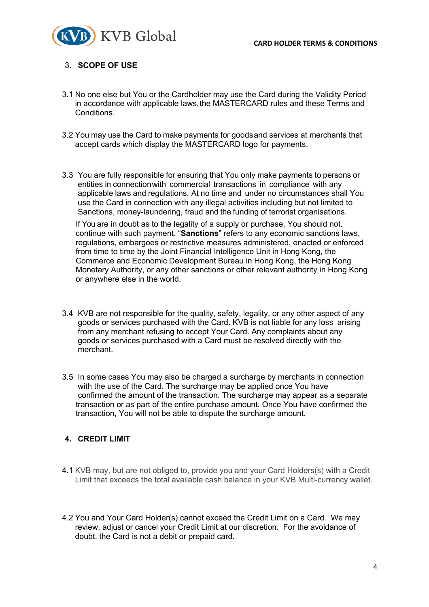

### 3. **SCOPE OF USE**

- 3.1 No one else but You or the Cardholder may use the Card during the Validity Period in accordance with applicable laws,the MASTERCARD rules and these Terms and Conditions.
- 3.2 You may use the Card to make payments for goodsand services at merchants that accept cards which display the MASTERCARD logo for payments.
- 3.3 You are fully responsible for ensuring that You only make payments to persons or entities in connectionwith commercial transactions in compliance with any applicable laws and regulations. At no time and under no circumstances shall You use the Card in connection with any illegal activities including but not limited to Sanctions, money-laundering, fraud and the funding of terrorist organisations.

If You are in doubt as to the legality of a supply or purchase, You should not. continue with such payment. "**Sanctions**" refers to any economic sanctions laws, regulations, embargoes or restrictive measures administered, enacted or enforced from time to time by the Joint Financial Intelligence Unit in Hong Kong, the Commerce and Economic Development Bureau in Hong Kong, the Hong Kong Monetary Authority, or any other sanctions or other relevant authority in Hong Kong or anywhere else in the world.

- 3.4 KVB are not responsible for the quality, safety, legality, or any other aspect of any goods or services purchased with the Card. KVB is not liable for any loss arising from any merchant refusing to accept Your Card. Any complaints about any goods or services purchased with a Card must be resolved directly with the merchant.
- 3.5 In some cases You may also be charged a surcharge by merchants in connection with the use of the Card. The surcharge may be applied once You have confirmed the amount of the transaction. The surcharge may appear as a separate transaction or as part of the entire purchase amount. Once You have confirmed the transaction, You will not be able to dispute the surcharge amount.

### **4. CREDIT LIMIT**

- 4.1 KVB may, but are not obliged to, provide you and your Card Holders(s) with a Credit Limit that exceeds the total available cash balance in your KVB Multi-currency wallet.
- 4.2 You and Your Card Holder(s) cannot exceed the Credit Limit on a Card. We may review, adjust or cancel your Credit Limit at our discretion. For the avoidance of doubt, the Card is not a debit or prepaid card.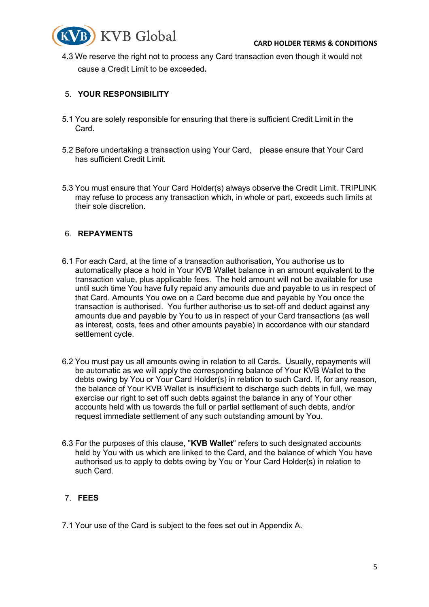

4.3 We reserve the right not to process any Card transaction even though it would not cause a Credit Limit to be exceeded**.**

### 5. **YOUR RESPONSIBILITY**

- 5.1 You are solely responsible for ensuring that there is sufficient Credit Limit in the Card.
- 5.2 Before undertaking a transaction using Your Card, please ensure that Your Card has sufficient Credit Limit.
- 5.3 You must ensure that Your Card Holder(s) always observe the Credit Limit. TRIPLINK may refuse to process any transaction which, in whole or part, exceeds such limits at their sole discretion.

### 6. **REPAYMENTS**

- 6.1 For each Card, at the time of a transaction authorisation, You authorise us to automatically place a hold in Your KVB Wallet balance in an amount equivalent to the transaction value, plus applicable fees. The held amount will not be available for use until such time You have fully repaid any amounts due and payable to us in respect of that Card. Amounts You owe on a Card become due and payable by You once the transaction is authorised. You further authorise us to set-off and deduct against any amounts due and payable by You to us in respect of your Card transactions (as well as interest, costs, fees and other amounts payable) in accordance with our standard settlement cycle.
- 6.2 You must pay us all amounts owing in relation to all Cards. Usually, repayments will be automatic as we will apply the corresponding balance of Your KVB Wallet to the debts owing by You or Your Card Holder(s) in relation to such Card. If, for any reason, the balance of Your KVB Wallet is insufficient to discharge such debts in full, we may exercise our right to set off such debts against the balance in any of Your other accounts held with us towards the full or partial settlement of such debts, and/or request immediate settlement of any such outstanding amount by You.
- 6.3 For the purposes of this clause, "**KVB Wallet**" refers to such designated accounts held by You with us which are linked to the Card, and the balance of which You have authorised us to apply to debts owing by You or Your Card Holder(s) in relation to such Card.

## 7. **FEES**

7.1 Your use of the Card is subject to the fees set out in Appendix A.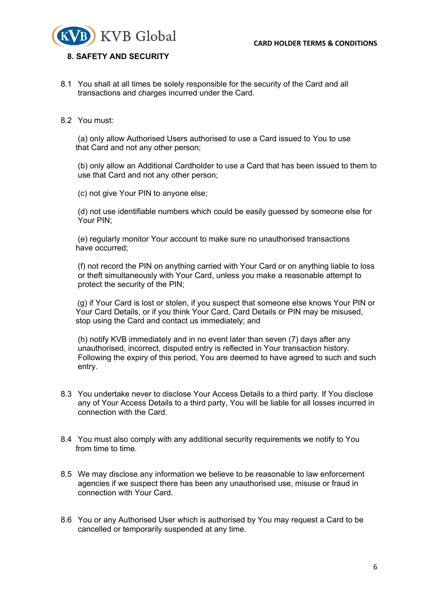

#### **8. SAFETY AND SECURITY**

 8.1 You shall at all times be solely responsible for the security of the Card and all transactions and charges incurred under the Card.

#### 8.2 You must:

(a) only allow Authorised Users authorised to use a Card issued to You to use that Card and not any other person;

(b) only allow an Additional Cardholder to use a Card that has been issued to them to use that Card and not any other person;

(c) not give Your PIN to anyone else;

(d) not use identifiable numbers which could be easily guessed by someone else for Your PIN;

(e) regularly monitor Your account to make sure no unauthorised transactions have occurred;

(f) not record the PIN on anything carried with Your Card or on anything liable to loss or theft simultaneously with Your Card, unless you make a reasonable attempt to protect the security of the PIN;

 (g) if Your Card is lost or stolen, if you suspect that someone else knows Your PIN or Your Card Details, or if you think Your Card, Card Details or PIN may be misused, stop using the Card and contact us immediately; and

(h) notify KVB immediately and in no event later than seven (7) days after any unauthorised, incorrect, disputed entry is reflected in Your transaction history. Following the expiry of this period, You are deemed to have agreed to such and such entry.

- 8.3 You undertake never to disclose Your Access Details to a third party. If You disclose any of Your Access Details to a third party, You will be liable for all losses incurred in connection with the Card.
- 8.4 You must also comply with any additional security requirements we notify to You from time to time.
- 8.5 We may disclose any information we believe to be reasonable to law enforcement agencies if we suspect there has been any unauthorised use, misuse or fraud in connection with Your Card.
- 8.6 You or any Authorised User which is authorised by You may request a Card to be cancelled or temporarily suspended at any time.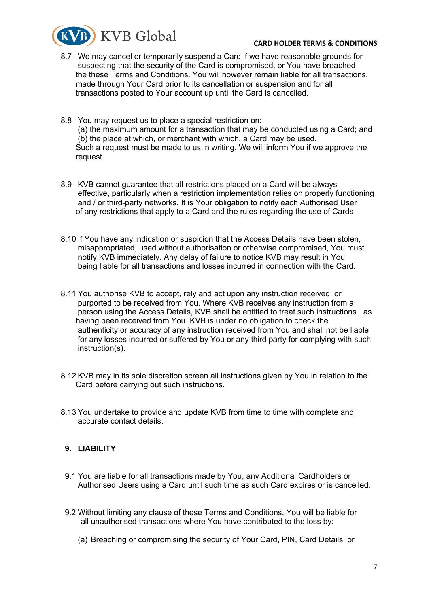

#### **CARD HOLDER TERMS & CONDITIONS**

- 8.7 We may cancel or temporarily suspend a Card if we have reasonable grounds for suspecting that the security of the Card is compromised, or You have breached the these Terms and Conditions. You will however remain liable for all transactions. made through Your Card prior to its cancellation or suspension and for all transactions posted to Your account up until the Card is cancelled.
- 8.8 You may request us to place a special restriction on: (a) the maximum amount for a transaction that may be conducted using a Card; and (b) the place at which, or merchant with which, a Card may be used. Such a request must be made to us in writing. We will inform You if we approve the request.
- 8.9 KVB cannot guarantee that all restrictions placed on a Card will be always effective, particularly when a restriction implementation relies on properly functioning and / or third-party networks. It is Your obligation to notify each Authorised User of any restrictions that apply to a Card and the rules regarding the use of Cards
- 8.10 If You have any indication or suspicion that the Access Details have been stolen, misappropriated, used without authorisation or otherwise compromised, You must notify KVB immediately. Any delay of failure to notice KVB may result in You being liable for all transactions and losses incurred in connection with the Card.
- 8.11 You authorise KVB to accept, rely and act upon any instruction received, or purported to be received from You. Where KVB receives any instruction from a person using the Access Details, KVB shall be entitled to treat such instructions as having been received from You. KVB is under no obligation to check the authenticity or accuracy of any instruction received from You and shall not be liable for any losses incurred or suffered by You or any third party for complying with such instruction(s).
- 8.12 KVB may in its sole discretion screen all instructions given by You in relation to the Card before carrying out such instructions.
- 8.13 You undertake to provide and update KVB from time to time with complete and accurate contact details.

## **9. LIABILITY**

- 9.1 You are liable for all transactions made by You, any Additional Cardholders or Authorised Users using a Card until such time as such Card expires or is cancelled.
- 9.2 Without limiting any clause of these Terms and Conditions, You will be liable for all unauthorised transactions where You have contributed to the loss by:
	- (a) Breaching or compromising the security of Your Card, PIN, Card Details; or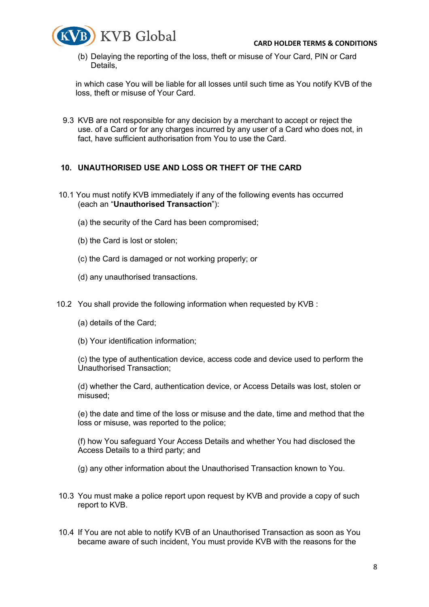

(b) Delaying the reporting of the loss, theft or misuse of Your Card, PIN or Card Details,

in which case You will be liable for all losses until such time as You notify KVB of the loss, theft or misuse of Your Card.

 9.3 KVB are not responsible for any decision by a merchant to accept or reject the use. of a Card or for any charges incurred by any user of a Card who does not, in fact, have sufficient authorisation from You to use the Card.

## **10. UNAUTHORISED USE AND LOSS OR THEFT OF THE CARD**

- 10.1 You must notify KVB immediately if any of the following events has occurred (each an "**Unauthorised Transaction**"):
	- (a) the security of the Card has been compromised;
	- (b) the Card is lost or stolen;
	- (c) the Card is damaged or not working properly; or
	- (d) any unauthorised transactions.
- 10.2 You shall provide the following information when requested by KVB :
	- (a) details of the Card;
	- (b) Your identification information;

(c) the type of authentication device, access code and device used to perform the Unauthorised Transaction;

(d) whether the Card, authentication device, or Access Details was lost, stolen or misused;

(e) the date and time of the loss or misuse and the date, time and method that the loss or misuse, was reported to the police;

(f) how You safeguard Your Access Details and whether You had disclosed the Access Details to a third party; and

(g) any other information about the Unauthorised Transaction known to You.

- 10.3 You must make a police report upon request by KVB and provide a copy of such report to KVB.
- 10.4 If You are not able to notify KVB of an Unauthorised Transaction as soon as You became aware of such incident, You must provide KVB with the reasons for the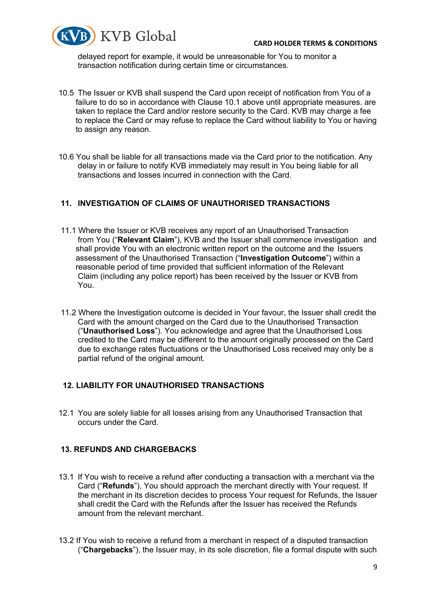

delayed report for example, it would be unreasonable for You to monitor a transaction notification during certain time or circumstances.

- 10.5 The Issuer or KVB shall suspend the Card upon receipt of notification from You of a failure to do so in accordance with Clause 10.1 above until appropriate measures. are taken to replace the Card and/or restore security to the Card. KVB may charge a fee to replace the Card or may refuse to replace the Card without liability to You or having to assign any reason.
- 10.6 You shall be liable for all transactions made via the Card prior to the notification. Any delay in or failure to notify KVB immediately may result in You being liable for all transactions and losses incurred in connection with the Card.

### **11. INVESTIGATION OF CLAIMS OF UNAUTHORISED TRANSACTIONS**

- 11.1 Where the Issuer or KVB receives any report of an Unauthorised Transaction from You ("**Relevant Claim**"), KVB and the Issuer shall commence investigation and shall provide You with an electronic written report on the outcome and the Issuers assessment of the Unauthorised Transaction ("**Investigation Outcome**") within a reasonable period of time provided that sufficient information of the Relevant Claim (including any police report) has been received by the Issuer or KVB from You.
- 11.2 Where the Investigation outcome is decided in Your favour, the Issuer shall credit the Card with the amount charged on the Card due to the Unauthorised Transaction ("**Unauthorised Loss**"). You acknowledge and agree that the Unauthorised Loss credited to the Card may be different to the amount originally processed on the Card due to exchange rates fluctuations or the Unauthorised Loss received may only be a partial refund of the original amount.

### **12. LIABILITY FOR UNAUTHORISED TRANSACTIONS**

 12.1 You are solely liable for all losses arising from any Unauthorised Transaction that occurs under the Card.

### **13. REFUNDS AND CHARGEBACKS**

- 13.1 If You wish to receive a refund after conducting a transaction with a merchant via the Card ("**Refunds**"), You should approach the merchant directly with Your request. If the merchant in its discretion decides to process Your request for Refunds, the Issuer shall credit the Card with the Refunds after the Issuer has received the Refunds amount from the relevant merchant.
- 13.2 If You wish to receive a refund from a merchant in respect of a disputed transaction ("**Chargebacks**"), the Issuer may, in its sole discretion, file a formal dispute with such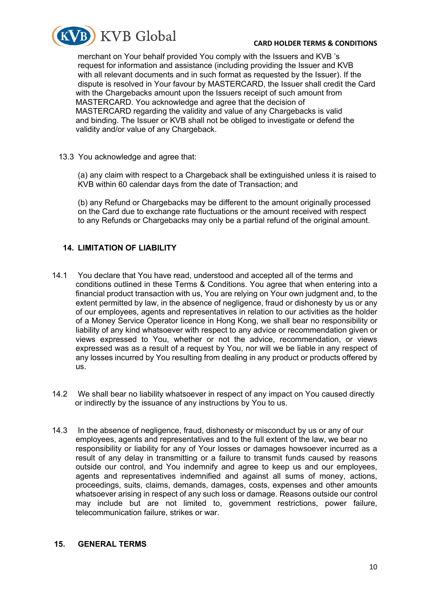

#### **CARD HOLDER TERMS & CONDITIONS**

merchant on Your behalf provided You comply with the Issuers and KVB 's request for information and assistance (including providing the Issuer and KVB with all relevant documents and in such format as requested by the Issuer). If the dispute is resolved in Your favour by MASTERCARD, the Issuer shall credit the Card with the Chargebacks amount upon the Issuers receipt of such amount from MASTERCARD. You acknowledge and agree that the decision of MASTERCARD regarding the validity and value of any Chargebacks is valid and binding. The Issuer or KVB shall not be obliged to investigate or defend the validity and/or value of any Chargeback.

13.3 You acknowledge and agree that:

(a) any claim with respect to a Chargeback shall be extinguished unless it is raised to KVB within 60 calendar days from the date of Transaction; and

(b) any Refund or Chargebacks may be different to the amount originally processed on the Card due to exchange rate fluctuations or the amount received with respect to any Refunds or Chargebacks may only be a partial refund of the original amount.

### **14. LIMITATION OF LIABILITY**

- 14.1 You declare that You have read, understood and accepted all of the terms and conditions outlined in these Terms & Conditions. You agree that when entering into a financial product transaction with us, You are relying on Your own judgment and, to the extent permitted by law, in the absence of negligence, fraud or dishonesty by us or any of our employees, agents and representatives in relation to our activities as the holder of a Money Service Operator licence in Hong Kong, we shall bear no responsibility or liability of any kind whatsoever with respect to any advice or recommendation given or views expressed to You, whether or not the advice, recommendation, or views expressed was as a result of a request by You, nor will we be liable in any respect of any losses incurred by You resulting from dealing in any product or products offered by us.
- 14.2 We shall bear no liability whatsoever in respect of any impact on You caused directly or indirectly by the issuance of any instructions by You to us.
- 14.3 In the absence of negligence, fraud, dishonesty or misconduct by us or any of our employees, agents and representatives and to the full extent of the law, we bear no responsibility or liability for any of Your losses or damages howsoever incurred as a result of any delay in transmitting or a failure to transmit funds caused by reasons outside our control, and You indemnify and agree to keep us and our employees, agents and representatives indemnified and against all sums of money, actions, proceedings, suits, claims, demands, damages, costs, expenses and other amounts whatsoever arising in respect of any such loss or damage. Reasons outside our control may include but are not limited to, government restrictions, power failure, telecommunication failure, strikes or war.

#### **15. GENERAL TERMS**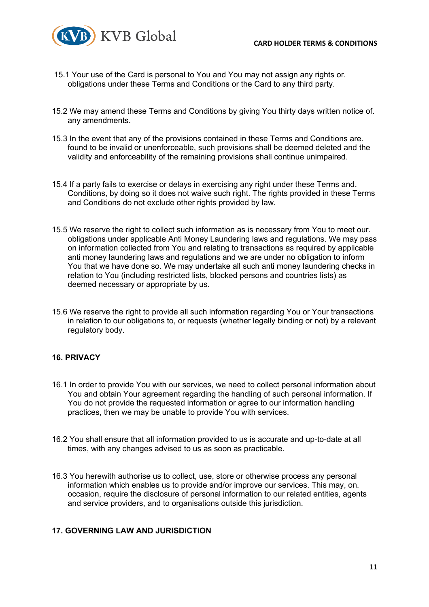

- 15.1 Your use of the Card is personal to You and You may not assign any rights or. obligations under these Terms and Conditions or the Card to any third party.
- 15.2 We may amend these Terms and Conditions by giving You thirty days written notice of. any amendments.
- 15.3 In the event that any of the provisions contained in these Terms and Conditions are. found to be invalid or unenforceable, such provisions shall be deemed deleted and the validity and enforceability of the remaining provisions shall continue unimpaired.
- 15.4 If a party fails to exercise or delays in exercising any right under these Terms and. Conditions, by doing so it does not waive such right. The rights provided in these Terms and Conditions do not exclude other rights provided by law.
- 15.5 We reserve the right to collect such information as is necessary from You to meet our. obligations under applicable Anti Money Laundering laws and regulations. We may pass on information collected from You and relating to transactions as required by applicable anti money laundering laws and regulations and we are under no obligation to inform You that we have done so. We may undertake all such anti money laundering checks in relation to You (including restricted lists, blocked persons and countries lists) as deemed necessary or appropriate by us.
- 15.6 We reserve the right to provide all such information regarding You or Your transactions in relation to our obligations to, or requests (whether legally binding or not) by a relevant regulatory body.

## **16. PRIVACY**

- 16.1 In order to provide You with our services, we need to collect personal information about You and obtain Your agreement regarding the handling of such personal information. If You do not provide the requested information or agree to our information handling practices, then we may be unable to provide You with services.
- 16.2 You shall ensure that all information provided to us is accurate and up-to-date at all times, with any changes advised to us as soon as practicable.
- 16.3 You herewith authorise us to collect, use, store or otherwise process any personal information which enables us to provide and/or improve our services. This may, on. occasion, require the disclosure of personal information to our related entities, agents and service providers, and to organisations outside this jurisdiction.

### **17. GOVERNING LAW AND JURISDICTION**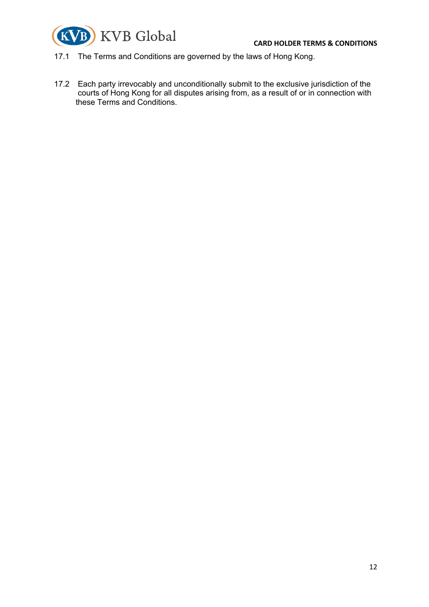



- 17.1 The Terms and Conditions are governed by the laws of Hong Kong.
- 17.2 Each party irrevocably and unconditionally submit to the exclusive jurisdiction of the courts of Hong Kong for all disputes arising from, as a result of or in connection with these Terms and Conditions.